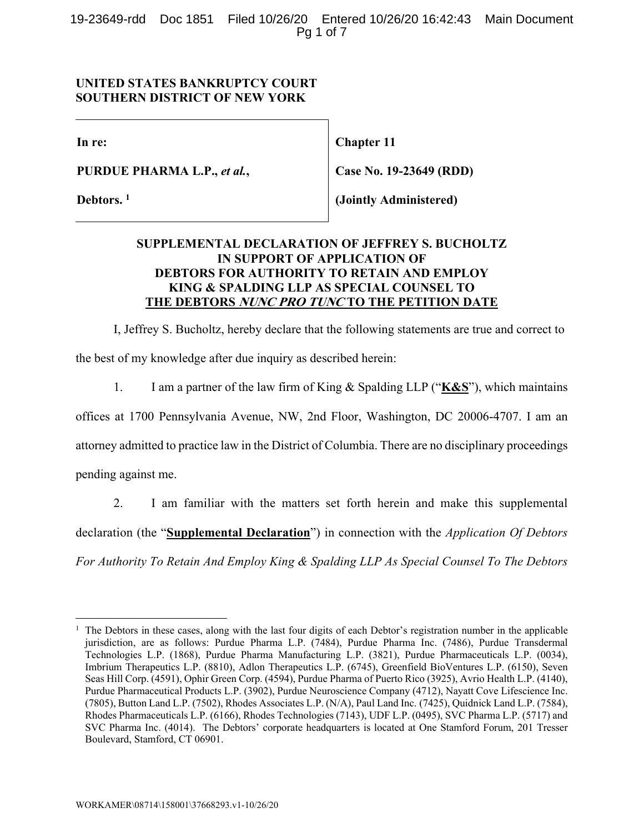19-23649-rdd Doc 1851 Filed 10/26/20 Entered 10/26/20 16:42:43 Main Document Pg 1 of 7

#### **UNITED STATES BANKRUPTCY COURT SOUTHERN DISTRICT OF NEW YORK**

**In re:** 

**PURDUE PHARMA L.P.,** *et al.***,** 

**Debtors. 1**

**Chapter 11** 

**Case No. 19-23649 (RDD)** 

**(Jointly Administered)** 

### **SUPPLEMENTAL DECLARATION OF JEFFREY S. BUCHOLTZ IN SUPPORT OF APPLICATION OF DEBTORS FOR AUTHORITY TO RETAIN AND EMPLOY KING & SPALDING LLP AS SPECIAL COUNSEL TO THE DEBTORS NUNC PRO TUNC TO THE PETITION DATE**

I, Jeffrey S. Bucholtz, hereby declare that the following statements are true and correct to the best of my knowledge after due inquiry as described herein:

1. I am a partner of the law firm of King & Spalding LLP ("**K&S**"), which maintains

offices at 1700 Pennsylvania Avenue, NW, 2nd Floor, Washington, DC 20006-4707. I am an

attorney admitted to practice law in the District of Columbia. There are no disciplinary proceedings

pending against me.

2. I am familiar with the matters set forth herein and make this supplemental declaration (the "**Supplemental Declaration**") in connection with the *Application Of Debtors For Authority To Retain And Employ King & Spalding LLP As Special Counsel To The Debtors* 

<sup>1</sup> The Debtors in these cases, along with the last four digits of each Debtor's registration number in the applicable jurisdiction, are as follows: Purdue Pharma L.P. (7484), Purdue Pharma Inc. (7486), Purdue Transdermal Technologies L.P. (1868), Purdue Pharma Manufacturing L.P. (3821), Purdue Pharmaceuticals L.P. (0034), Imbrium Therapeutics L.P. (8810), Adlon Therapeutics L.P. (6745), Greenfield BioVentures L.P. (6150), Seven Seas Hill Corp. (4591), Ophir Green Corp. (4594), Purdue Pharma of Puerto Rico (3925), Avrio Health L.P. (4140), Purdue Pharmaceutical Products L.P. (3902), Purdue Neuroscience Company (4712), Nayatt Cove Lifescience Inc. (7805), Button Land L.P. (7502), Rhodes Associates L.P. (N/A), Paul Land Inc. (7425), Quidnick Land L.P. (7584), Rhodes Pharmaceuticals L.P. (6166), Rhodes Technologies (7143), UDF L.P. (0495), SVC Pharma L.P. (5717) and SVC Pharma Inc. (4014). The Debtors' corporate headquarters is located at One Stamford Forum, 201 Tresser Boulevard, Stamford, CT 06901.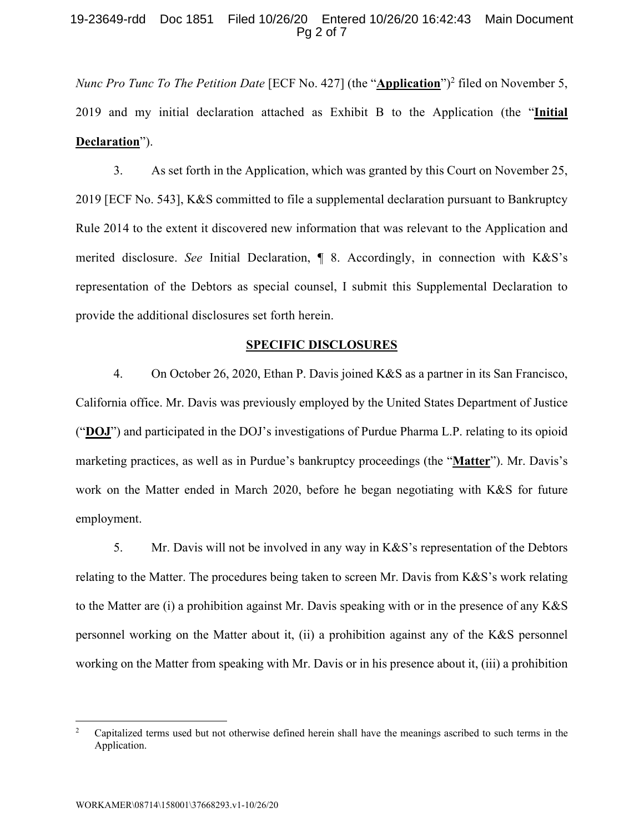#### 19-23649-rdd Doc 1851 Filed 10/26/20 Entered 10/26/20 16:42:43 Main Document Pg 2 of 7

*Nunc Pro Tunc To The Petition Date* [ECF No. 427] (the "**Application**")<sup>2</sup> filed on November 5, 2019 and my initial declaration attached as Exhibit B to the Application (the "**Initial Declaration**").

3. As set forth in the Application, which was granted by this Court on November 25, 2019 [ECF No. 543], K&S committed to file a supplemental declaration pursuant to Bankruptcy Rule 2014 to the extent it discovered new information that was relevant to the Application and merited disclosure. *See* Initial Declaration, ¶ 8. Accordingly, in connection with K&S's representation of the Debtors as special counsel, I submit this Supplemental Declaration to provide the additional disclosures set forth herein.

#### **SPECIFIC DISCLOSURES**

4. On October 26, 2020, Ethan P. Davis joined K&S as a partner in its San Francisco, California office. Mr. Davis was previously employed by the United States Department of Justice ("**DOJ**") and participated in the DOJ's investigations of Purdue Pharma L.P. relating to its opioid marketing practices, as well as in Purdue's bankruptcy proceedings (the "**Matter**"). Mr. Davis's work on the Matter ended in March 2020, before he began negotiating with K&S for future employment.

5. Mr. Davis will not be involved in any way in K&S's representation of the Debtors relating to the Matter. The procedures being taken to screen Mr. Davis from K&S's work relating to the Matter are (i) a prohibition against Mr. Davis speaking with or in the presence of any K&S personnel working on the Matter about it, (ii) a prohibition against any of the K&S personnel working on the Matter from speaking with Mr. Davis or in his presence about it, (iii) a prohibition

<sup>2</sup> Capitalized terms used but not otherwise defined herein shall have the meanings ascribed to such terms in the Application.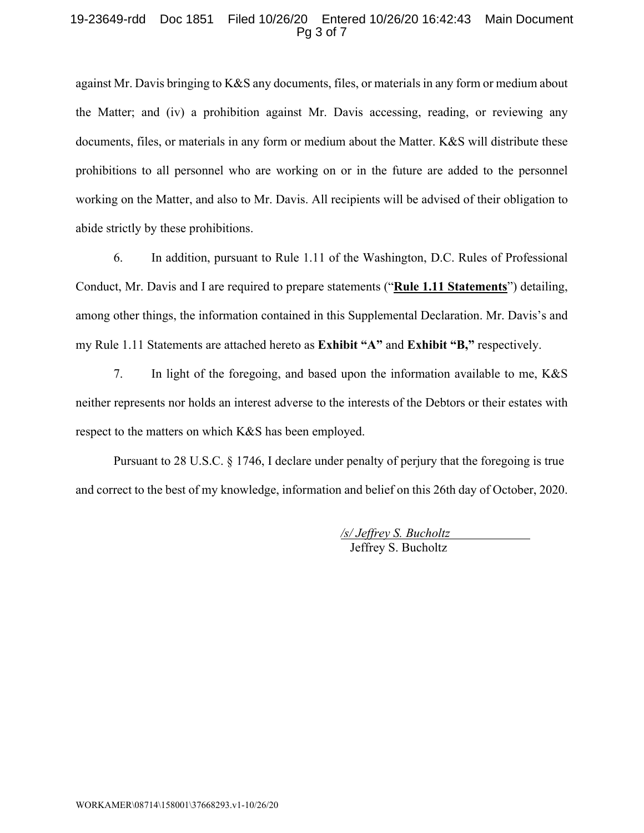#### 19-23649-rdd Doc 1851 Filed 10/26/20 Entered 10/26/20 16:42:43 Main Document Pg 3 of 7

against Mr. Davis bringing to K&S any documents, files, or materials in any form or medium about the Matter; and (iv) a prohibition against Mr. Davis accessing, reading, or reviewing any documents, files, or materials in any form or medium about the Matter. K&S will distribute these prohibitions to all personnel who are working on or in the future are added to the personnel working on the Matter, and also to Mr. Davis. All recipients will be advised of their obligation to abide strictly by these prohibitions.

6. In addition, pursuant to Rule 1.11 of the Washington, D.C. Rules of Professional Conduct, Mr. Davis and I are required to prepare statements ("**Rule 1.11 Statements**") detailing, among other things, the information contained in this Supplemental Declaration. Mr. Davis's and my Rule 1.11 Statements are attached hereto as **Exhibit "A"** and **Exhibit "B,"** respectively.

7. In light of the foregoing, and based upon the information available to me, K&S neither represents nor holds an interest adverse to the interests of the Debtors or their estates with respect to the matters on which K&S has been employed.

Pursuant to 28 U.S.C. § 1746, I declare under penalty of perjury that the foregoing is true and correct to the best of my knowledge, information and belief on this 26th day of October, 2020.

> */s/ Jeffrey S. Bucholtz*  Jeffrey S. Bucholtz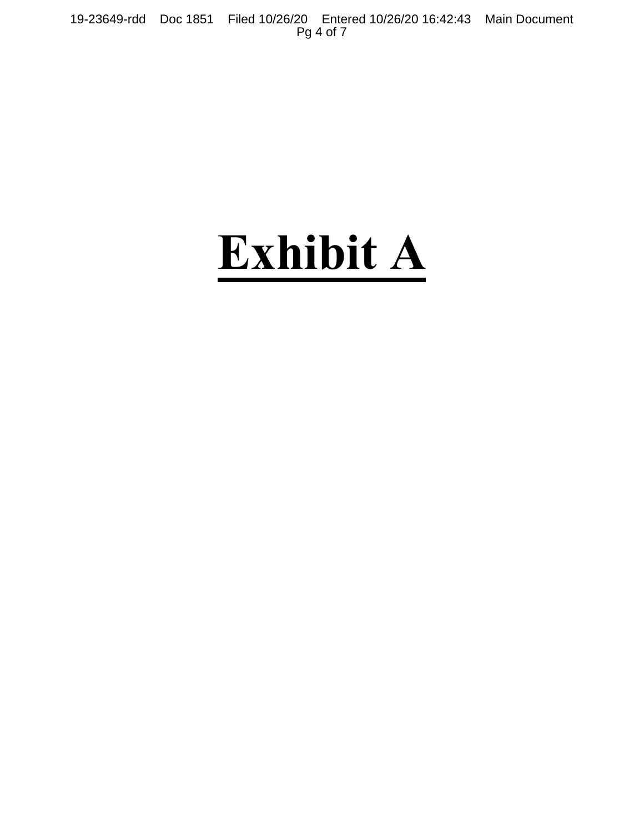19-23649-rdd Doc 1851 Filed 10/26/20 Entered 10/26/20 16:42:43 Main Document Pg 4 of 7

## **Exhibit A**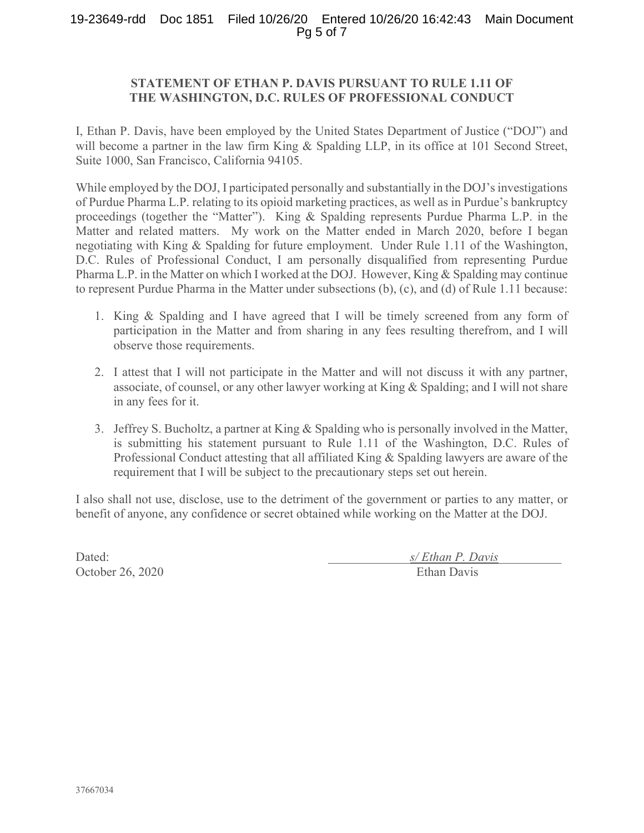#### 19-23649-rdd Doc 1851 Filed 10/26/20 Entered 10/26/20 16:42:43 Main Document Pg 5 of 7

#### **STATEMENT OF ETHAN P. DAVIS PURSUANT TO RULE 1.11 OF THE WASHINGTON, D.C. RULES OF PROFESSIONAL CONDUCT**

I, Ethan P. Davis, have been employed by the United States Department of Justice ("DOJ") and will become a partner in the law firm King & Spalding LLP, in its office at 101 Second Street, Suite 1000, San Francisco, California 94105.

While employed by the DOJ, I participated personally and substantially in the DOJ's investigations of Purdue Pharma L.P. relating to its opioid marketing practices, as well as in Purdue's bankruptcy proceedings (together the "Matter"). King & Spalding represents Purdue Pharma L.P. in the Matter and related matters. My work on the Matter ended in March 2020, before I began negotiating with King & Spalding for future employment. Under Rule 1.11 of the Washington, D.C. Rules of Professional Conduct, I am personally disqualified from representing Purdue Pharma L.P. in the Matter on which I worked at the DOJ. However, King & Spalding may continue to represent Purdue Pharma in the Matter under subsections (b), (c), and (d) of Rule 1.11 because:

- 1. King & Spalding and I have agreed that I will be timely screened from any form of participation in the Matter and from sharing in any fees resulting therefrom, and I will observe those requirements.
- 2. I attest that I will not participate in the Matter and will not discuss it with any partner, associate, of counsel, or any other lawyer working at King & Spalding; and I will not share in any fees for it.
- 3. Jeffrey S. Bucholtz, a partner at King & Spalding who is personally involved in the Matter, is submitting his statement pursuant to Rule 1.11 of the Washington, D.C. Rules of Professional Conduct attesting that all affiliated King & Spalding lawyers are aware of the requirement that I will be subject to the precautionary steps set out herein.

I also shall not use, disclose, use to the detriment of the government or parties to any matter, or benefit of anyone, any confidence or secret obtained while working on the Matter at the DOJ.

Dated:  $s/ E than P. \, Davis$ October 26, 2020 Ethan Davis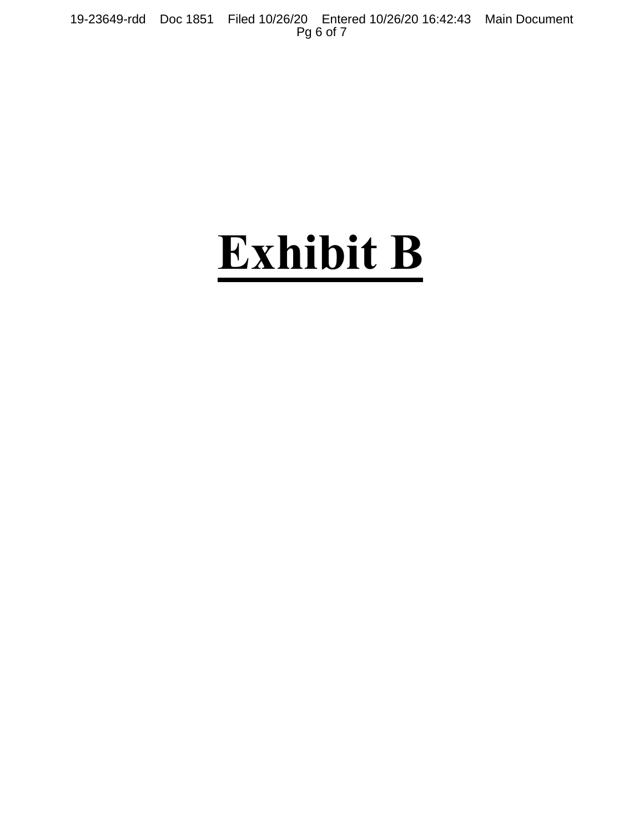19-23649-rdd Doc 1851 Filed 10/26/20 Entered 10/26/20 16:42:43 Main Document Pg 6 of 7

# **Exhibit B**